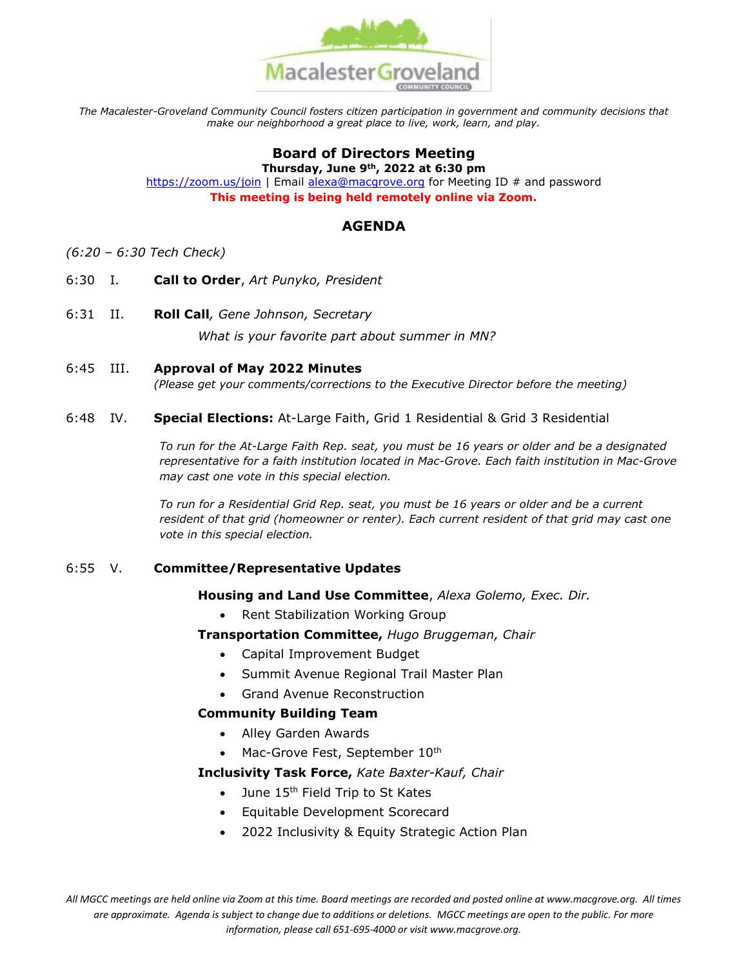

*The Macalester-Groveland Community Council fosters citizen participation in government and community decisions that make our neighborhood a great place to live, work, learn, and play.*

# **Board of Directors Meeting**

**Thursday, June 9th, 2022 at 6:30 pm** <https://zoom.us/join> | Email [alexa@macgrove.org](mailto:alexa@macgrove.org) for Meeting ID # and password **This meeting is being held remotely online via Zoom.**

## **AGENDA**

- *(6:20 – 6:30 Tech Check)*
- 6:30 I. **Call to Order**, *Art Punyko, President*
- 6:31 II. **Roll Call***, Gene Johnson, Secretary*

*What is your favorite part about summer in MN?*

6:45 III. **Approval of May 2022 Minutes**

*(Please get your comments/corrections to the Executive Director before the meeting)*

### 6:48 IV. **Special Elections:** At-Large Faith, Grid 1 Residential & Grid 3 Residential

*To run for the At-Large Faith Rep. seat, you must be 16 years or older and be a designated representative for a faith institution located in Mac-Grove. Each faith institution in Mac-Grove may cast one vote in this special election.* 

*To run for a Residential Grid Rep. seat, you must be 16 years or older and be a current*  resident of that grid (homeowner or renter). Each current resident of that grid may cast one *vote in this special election.*

## 6:55 V. **Committee/Representative Updates**

### **Housing and Land Use Committee**, *Alexa Golemo, Exec. Dir.*

• Rent Stabilization Working Group

**Transportation Committee,** *Hugo Bruggeman, Chair*

- Capital Improvement Budget
- Summit Avenue Regional Trail Master Plan
- Grand Avenue Reconstruction

## **Community Building Team**

- Alley Garden Awards
- Mac-Grove Fest, September 10th

### **Inclusivity Task Force,** *Kate Baxter-Kauf, Chair*

- $\bullet$  June 15<sup>th</sup> Field Trip to St Kates
- Equitable Development Scorecard
- 2022 Inclusivity & Equity Strategic Action Plan

*All MGCC meetings are held online via Zoom at this time. Board meetings are recorded and posted online at www.macgrove.org. All times are approximate. Agenda is subject to change due to additions or deletions. MGCC meetings are open to the public. For more information, please call 651-695-4000 or visit www.macgrove.org.*